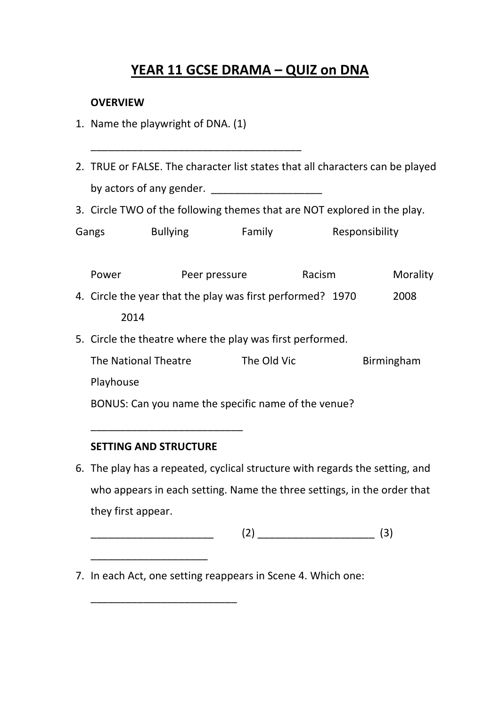## **YEAR 11 GCSE DRAMA – QUIZ on DNA**

## **OVERVIEW**

1. Name the playwright of DNA. (1)

\_\_\_\_\_\_\_\_\_\_\_\_\_\_\_\_\_\_\_\_\_\_\_\_\_\_\_\_\_\_\_\_\_\_\_\_

- 2. TRUE or FALSE. The character list states that all characters can be played by actors of any gender. \_\_\_\_\_\_\_\_\_\_\_\_\_\_\_\_\_\_\_
- 3. Circle TWO of the following themes that are NOT explored in the play.

| Gangs | <b>Bullying</b> | Family | Responsibility |
|-------|-----------------|--------|----------------|
|       |                 |        |                |

|                                                     | Power                                                      | Peer pressure | Racism      |  | Morality   |
|-----------------------------------------------------|------------------------------------------------------------|---------------|-------------|--|------------|
|                                                     | 4. Circle the year that the play was first performed? 1970 |               |             |  | 2008       |
|                                                     | 2014                                                       |               |             |  |            |
|                                                     | 5. Circle the theatre where the play was first performed.  |               |             |  |            |
|                                                     | The National Theatre                                       |               | The Old Vic |  | Birmingham |
|                                                     | Playhouse                                                  |               |             |  |            |
| BONUS: Can you name the specific name of the venue? |                                                            |               |             |  |            |

## **SETTING AND STRUCTURE**

\_\_\_\_\_\_\_\_\_\_\_\_\_\_\_\_\_\_\_\_

\_\_\_\_\_\_\_\_\_\_\_\_\_\_\_\_\_\_\_\_\_\_\_\_\_

\_\_\_\_\_\_\_\_\_\_\_\_\_\_\_\_\_\_\_\_\_\_\_\_\_\_

6. The play has a repeated, cyclical structure with regards the setting, and who appears in each setting. Name the three settings, in the order that they first appear.

 $(2)$   $(3)$ 

7. In each Act, one setting reappears in Scene 4. Which one: